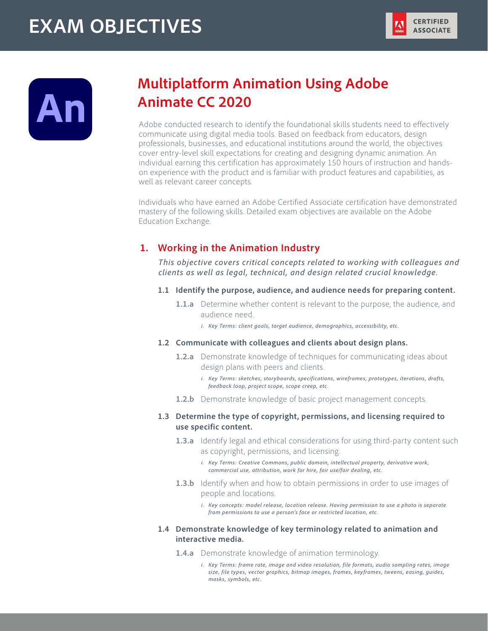# **EXAM OBJECTIVES**





## **Multiplatform Animation Using Adobe Animate CC 2020**

Adobe conducted research to identify the foundational skills students need to effectively communicate using digital media tools. Based on feedback from educators, design professionals, businesses, and educational institutions around the world, the objectives cover entry-level skill expectations for creating and designing dynamic animation. An individual earning this certification has approximately 150 hours of instruction and handson experience with the product and is familiar with product features and capabilities, as well as relevant career concepts.

Individuals who have earned an Adobe Certified Associate certification have demonstrated mastery of the following skills. Detailed exam objectives are available on the Adobe Education Exchange.

## **1. Working in the Animation Industry**

*This objective covers critical concepts related to working with colleagues and clients as well as legal, technical, and design related crucial knowledge.*

- **1.1 Identify the purpose, audience, and audience needs for preparing content.**
	- **1.1.a** Determine whether content is relevant to the purpose, the audience, and audience need.
		- *i. Key Terms: client goals, target audience, demographics, accessibility, etc.*
- **1.2 Communicate with colleagues and clients about design plans.**
	- **1.2.a** Demonstrate knowledge of techniques for communicating ideas about design plans with peers and clients.
		- *i. Key Terms: sketches, storyboards, specifications, wireframes, prototypes, iterations, drafts, feedback loop, project scope, scope creep, etc.*
	- **1.2.b** Demonstrate knowledge of basic project management concepts.

## **1.3 Determine the type of copyright, permissions, and licensing required to use specific content.**

- **1.3.a** Identify legal and ethical considerations for using third-party content such as copyright, permissions, and licensing.
	- *i. Key Terms: Creative Commons, public domain, intellectual property, derivative work, commercial use, attribution, work for hire, fair use/fair dealing, etc.*
- **1.3.b** Identify when and how to obtain permissions in order to use images of people and locations.
	- *i. Key concepts: model release, location release. Having permission to use a photo is separate from permissions to use a person's face or restricted location, etc.*

## **1.4 Demonstrate knowledge of key terminology related to animation and interactive media.**

- **1.4.a** Demonstrate knowledge of animation terminology.
	- *i. Key Terms: frame rate, image and video resolution, file formats, audio sampling rates, image size, file types, vector graphics, bitmap images, frames, keyframes, tweens, easing, guides, masks, symbols, etc.*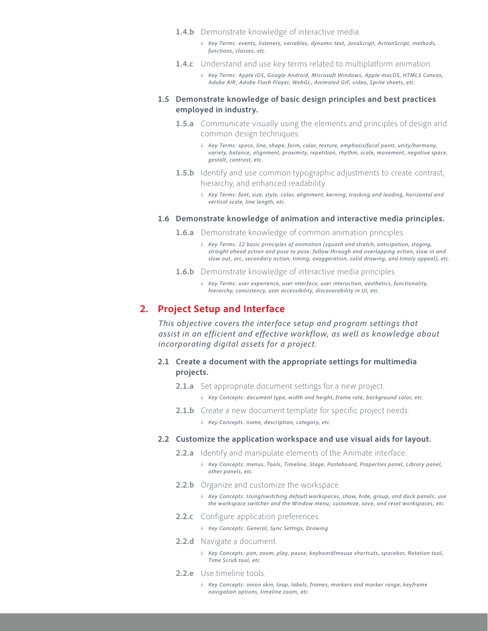- 1.4.b Demonstrate knowledge of interactive media.
	- *i. Key Terms: events, listeners, variables, dynamic text, JavaScript, ActionScript, methods, functions, classes, etc.*
- **1.4.c** Understand and use key terms related to multiplatform animation.
	- *i. Key Terms: Apple iOS, Google Android, Microsoft Windows, Apple macOS, HTML5 Canvas, Adobe AIR, Adobe Flash Player, WebGL, Animated GIF, video, Sprite sheets, etc.*

#### **1.5 Demonstrate knowledge of basic design principles and best practices employed in industry.**

- **1.5.a** Communicate visually using the elements and principles of design and common design techniques.
	- *i. Key Terms: space, line, shape, form, color, texture, emphasis/focal point, unity/harmony, variety, balance, alignment, proximity, repetition, rhythm, scale, movement, negative space, gestalt, contrast, etc.*
- **1.5.b** Identify and use common typographic adjustments to create contrast, hierarchy, and enhanced readability.
	- *i. Key Terms: font, size, style, color, alignment, kerning, tracking and leading, horizontal and vertical scale, line length, etc.*

#### **1.6 Demonstrate knowledge of animation and interactive media principles.**

- **1.6.a** Demonstrate knowledge of common animation principles.
	- *i. Key Terms: 12 basic principles of animation (squash and stretch, anticipation, staging, straight ahead action and pose to pose, follow through and overlapping action, slow in and slow out, arc, secondary action, timing, exaggeration, solid drawing, and timely appeal), etc.*
- **1.6.b** Demonstrate knowledge of interactive media principles.
	- *i. Key Terms: user experience, user interface, user interaction, aesthetics, functionality, hierarchy, consistency, user accessibility, discoverability in UI, etc.*

## **2. Project Setup and Interface**

*This objective covers the interface setup and program settings that assist in an efficient and effective workflow, as well as knowledge about incorporating digital assets for a project.*

#### **2.1 Create a document with the appropriate settings for multimedia projects.**

- **2.1.a** Set appropriate document settings for a new project.
	- *i. Key Concepts: document type, width and height, frame rate, background color, etc.*
- **2.1.b** Create a new document template for specific project needs.
	- *i. Key Concepts: name, description, category, etc.*

#### **2.2 Customize the application workspace and use visual aids for layout.**

- **2.2.a** Identify and manipulate elements of the Animate interface.
	- *i. Key Concepts: menus, Tools, Timeline, Stage, Pasteboard, Properties panel, Library panel, other panels, etc.*
- 2.2.b Organize and customize the workspace.

*i. Key Concepts: Using/switching default workspaces, show, hide, group, and dock panels; use the workspace switcher and the Window menu; customize, save, and reset workspaces; etc.*

- **2.2.c** Configure application preferences.
	- *i. Key Concepts: General, Sync Settngs, Drawing*
- **2.2.d** Navigate a document.
	- *i. Key Concepts: pan, zoom, play, pause, keyboard/mouse shortcuts, spacebar, Rotation tool, Time Scrub tool, etc.*
- **2.2.e** Use timeline tools.
	- *i. Key Concepts: onion skin, loop, labels, frames, markers and marker range, keyframe navigation options, timeline zoom, etc.*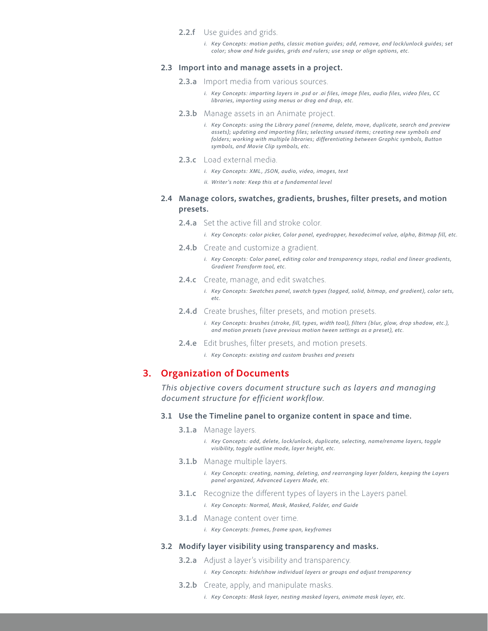- **2.2.f** Use guides and grids.
	- *i. Key Concepts: motion paths, classic motion guides; add, remove, and lock/unlock guides; set color; show and hide guides, grids and rulers; use snap or align options, etc.*

#### **2.3 Import into and manage assets in a project.**

- **2.3.a** Import media from various sources.
	- *i. Key Concepts: importing layers in .psd or .ai files, image files, audio files, video files, CC libraries, importing using menus or drag and drop, etc.*
- **2.3.b** Manage assets in an Animate project.
	- *i. Key Concepts: using the Library panel (rename, delete, move, duplicate, search and preview assets); updating and importing files; selecting unused items; creating new symbols and folders; working with multiple libraries; differentiating between Graphic symbols, Button symbols, and Movie Clip symbols, etc.*
- **2.3.c** Load external media.
	- *i. Key Concepts: XML, JSON, audio, video, images, text*
	- *ii. Writer's note: Keep this at a fundamental level*

## **2.4 Manage colors, swatches, gradients, brushes, filter presets, and motion presets.**

**2.4.a** Set the active fill and stroke color.

*i. Key Concepts: color picker, Color panel, eyedropper, hexadecimal value, alpha, Bitmap fill, etc.*

- **2.4.b** Create and customize a gradient.
	- *i. Key Concepts: Color panel, editing color and transparency stops, radial and linear gradients, Gradient Transform tool, etc.*
- **2.4.c** Create, manage, and edit swatches.
	- *i. Key Concepts: Swatches panel, swatch types (tagged, solid, bitmap, and gradient), color sets, etc.*
- **2.4.d** Create brushes, filter presets, and motion presets.

*i. Key Concepts: brushes (stroke, fill, types, width tool), filters (blur, glow, drop shadow, etc.), and motion presets (save previous motion tween settings as a preset), etc.*

- **2.4.e** Edit brushes, filter presets, and motion presets.
	- *i. Key Concepts: existing and custom brushes and presets*

## **3. Organization of Documents**

*This objective covers document structure such as layers and managing document structure for efficient workflow.*

#### **3.1 Use the Timeline panel to organize content in space and time.**

**3.1.a** Manage layers.

*i. Key Concepts: add, delete, lock/unlock, duplicate, selecting, name/rename layers, toggle visibility, toggle outline mode, layer height, etc.*

- **3.1.b** Manage multiple layers.
	- *i. Key Concepts: creating, naming, deleting, and rearranging layer folders, keeping the Layers panel organized, Advanced Layers Mode, etc.*
- **3.1.c** Recognize the different types of layers in the Layers panel.

*i. Key Concepts: Normal, Mask, Masked, Folder, and Guide*

- **3.1.d** Manage content over time.
	- *i. Key Concerpts: frames, frame span, keyframes*

#### **3.2 Modify layer visibility using transparency and masks.**

- **3.2.a** Adjust a layer's visibility and transparency.
	- *i. Key Concepts: hide/show individual layers or groups and adjust transparency*
- **3.2.b** Create, apply, and manipulate masks.
	- *i. Key Concepts: Mask layer, nesting masked layers, animate mask layer, etc.*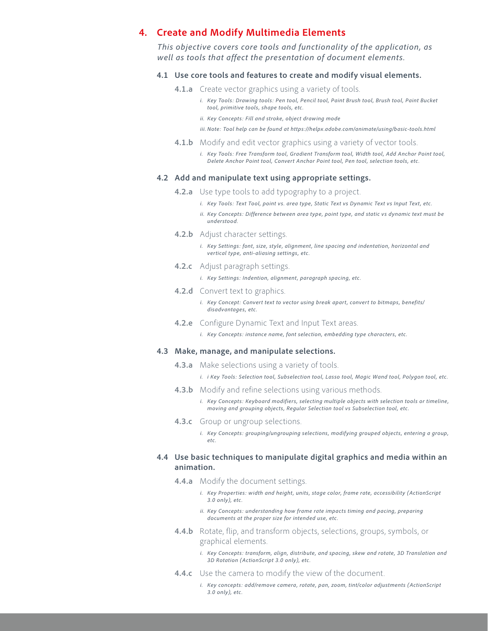## **4. Create and Modify Multimedia Elements**

*This objective covers core tools and functionality of the application, as well as tools that affect the presentation of document elements.*

#### **4.1 Use core tools and features to create and modify visual elements.**

- **4.1.a** Create vector graphics using a variety of tools.
	- *i. Key Tools: Drawing tools: Pen tool, Pencil tool, Paint Brush tool, Brush tool, Paint Bucket tool, primitive tools, shape tools, etc.*
	- *ii. Key Concepts: Fill and stroke, object drawing mode*
	- *iii. Note: Tool help can be found at https://helpx.adobe.com/animate/using/basic-tools.html*
- **4.1.b** Modify and edit vector graphics using a variety of vector tools.
	- *i. Key Tools: Free Transform tool, Gradient Transform tool, Width tool, Add Anchor Point tool, Delete Anchor Point tool, Convert Anchor Point tool, Pen tool, selection tools, etc.*

#### **4.2 Add and manipulate text using appropriate settings.**

- **4.2.a** Use type tools to add typography to a project.
	- *i. Key Tools: Text Tool, point vs. area type, Static Text vs Dynamic Text vs Input Text, etc.*
	- *ii. Key Concepts: Difference between area type, point type, and static vs dynamic text must be understood.*
- **4.2.b** Adjust character settings.
	- *i. Key Settings: font, size, style, alignment, line spacing and indentation, horizontal and vertical type, anti-aliasing settings, etc.*
- **4.2.c** Adjust paragraph settings.
	- *i. Key Settings: Indention, alignment, paragraph spacing, etc.*
- **4.2.d** Convert text to graphics.
	- *i. Key Concept: Convert text to vector using break apart, convert to bitmaps, benefits/ disadvantages, etc.*
- **4.2.e** Configure Dynamic Text and Input Text areas.
	- *i. Key Concepts: instance name, font selection, embedding type characters, etc.*

#### **4.3 Make, manage, and manipulate selections.**

- **4.3.a** Make selections using a variety of tools.
	- *i. i Key Tools: Selection tool, Subselection tool, Lasso tool, Magic Wand tool, Polygon tool, etc.*
- **4.3.b** Modify and refine selections using various methods.
	- *i. Key Concepts: Keyboard modifiers, selecting multiple objects with selection tools or timeline, moving and grouping objects, Regular Selection tool vs Subselection tool, etc.*
- **4.3.c** Group or ungroup selections.
	- *i. Key Concepts: grouping/ungrouping selections, modifying grouped objects, entering a group, etc.*

## **4.4 Use basic techniques to manipulate digital graphics and media within an animation.**

- **4.4.a** Modify the document settings.
	- *i. Key Properties: width and height, units, stage color, frame rate, accessibility (ActionScript 3.0 only), etc.*
	- *ii.* Key Concepts: understanding how frame rate impacts timing and pacing, preparing *documents at the proper size for intended use, etc.*
- **4.4.b** Rotate, flip, and transform objects, selections, groups, symbols, or graphical elements.
	- *i. Key Concepts: transform, align, distribute, and spacing, skew and rotate, 3D Translation and 3D Rotation (ActionScript 3.0 only), etc.*
- **4.4.c** Use the camera to modify the view of the document.
	- *i. Key concepts: add/remove camera, rotate, pan, zoom, tint/color adjustments (ActionScript 3.0 only), etc.*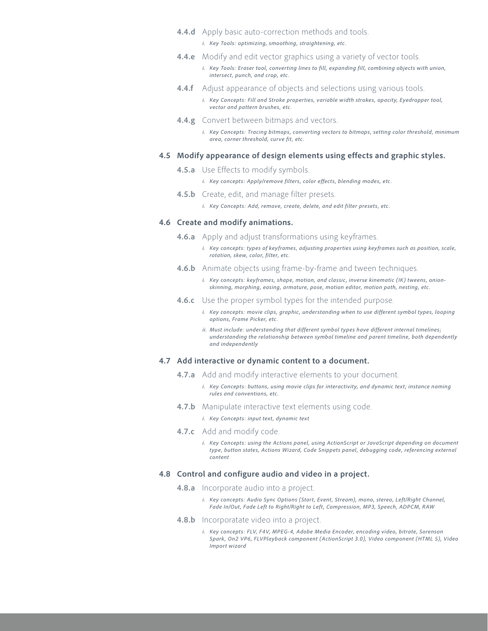- **4.4.d** Apply basic auto-correction methods and tools.
	- *i. Key Tools: optimizing, smoothing, straightening, etc.*
- **4.4.e** Modify and edit vector graphics using a variety of vector tools.
	- *i. Key Tools: Eraser tool, converting lines to fill, expanding fill, combining objects with union, intersect, punch, and crop, etc.*
- **4.4.f** Adjust appearance of objects and selections using various tools.
	- *i. Key Concepts: Fill and Stroke properties, variable width strokes, opacity, Eyedropper tool, vector and pattern brushes, etc.*
- **4.4.g** Convert between bitmaps and vectors.
	- *i. Key Concepts: Tracing bitmaps, converting vectors to bitmaps, setting color threshold, minimum area, corner threshold, curve fit, etc.*

#### **4.5 Modify appearance of design elements using effects and graphic styles.**

- **4.5.a** Use Effects to modify symbols.
	- *i. Key concepts: Apply/remove filters, color effects, blending modes, etc.*
- **4.5.b** Create, edit, and manage filter presets.
	- *i. Key Concepts: Add, remove, create, delete, and edit filter presets, etc.*

#### **4.6 Create and modify animations.**

- **4.6.a** Apply and adjust transformations using keyframes.
	- *i. Key concepts: types of keyframes, adjusting properties using keyframes such as position, scale, rotation, skew, color, filter, etc.*
- **4.6.b** Animate objects using frame-by-frame and tween techniques.
	- *i. Key concepts: keyframes, shape, motion, and classic, inverse kinematic (IK) tweens, onionskinning, morphing, easing, armature, pose, motion editor, motion path, nesting, etc.*
- **4.6.c** Use the proper symbol types for the intended purpose.
	- *i.* Key concepts: movie clips, graphic, understanding when to use different symbol types, looping *options, Frame Picker, etc.*
	- *ii. Must include: understanding that different symbol types have different internal timelines; understanding the relationship between symbol timeline and parent timeline, both dependently and independently*

#### **4.7 Add interactive or dynamic content to a document.**

- **4.7.a** Add and modify interactive elements to your document.
	- *i. Key Concepts: buttons, using movie clips for interactivity, and dynamic text; instance naming rules and conventions, etc.*
- **4.7.b** Manipulate interactive text elements using code.
	- *i. Key Concepts: input text, dynamic text*
- **4.7.c** Add and modify code.
	- *i. Key Concepts: using the Actions panel, using ActionScript or JavaScript depending on document type, button states, Actions Wizard, Code Snippets panel, debugging code, referencing external content*

#### **4.8 Control and configure audio and video in a project.**

- **4.8.a** Incorporate audio into a project.
	- *i. Key concepts: Audio Sync Options (Start, Event, Stream), mono, stereo, Left/Right Channel, Fade In/Out, Fade Left to Right/Right to Left, Compression, MP3, Speech, ADPCM, RAW*
- **4.8.b** Incorporatate video into a project.
	- *i. Key concepts: FLV, F4V, MPEG-4, Adobe Media Encoder, encoding video, bitrate, Sorenson Spark, On2 VP6, FLVPlayback component (ActionScript 3.0), Video component (HTML 5), Video Import wizard*